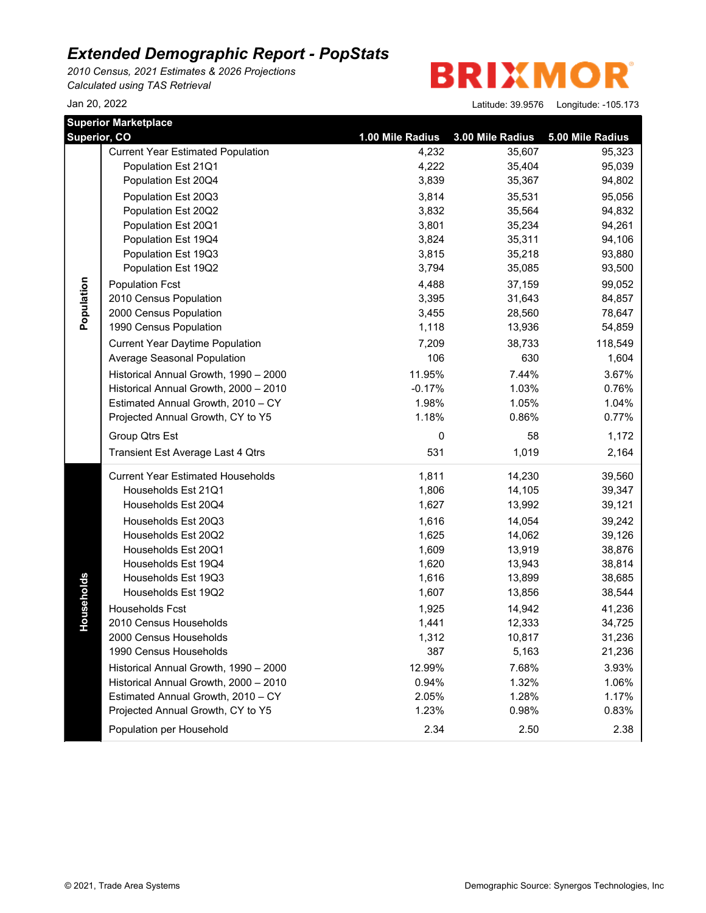*2010 Census, 2021 Estimates & 2026 Projections Calculated using TAS Retrieval*

**BRIXMOR** 

|              | <b>Superior Marketplace</b>              |                  |                  |                  |
|--------------|------------------------------------------|------------------|------------------|------------------|
| Superior, CO |                                          | 1.00 Mile Radius | 3.00 Mile Radius | 5.00 Mile Radius |
|              | <b>Current Year Estimated Population</b> | 4,232            | 35,607           | 95,323           |
|              | Population Est 21Q1                      | 4,222            | 35,404           | 95,039           |
|              | Population Est 20Q4                      | 3,839            | 35,367           | 94,802           |
|              | Population Est 20Q3                      | 3,814            | 35,531           | 95,056           |
|              | Population Est 20Q2                      | 3,832            | 35,564           | 94,832           |
|              | Population Est 20Q1                      | 3,801            | 35,234           | 94,261           |
|              | Population Est 19Q4                      | 3,824            | 35,311           | 94,106           |
|              | Population Est 19Q3                      | 3,815            | 35,218           | 93,880           |
|              | Population Est 19Q2                      | 3,794            | 35,085           | 93,500           |
|              | <b>Population Fcst</b>                   | 4,488            | 37,159           | 99,052           |
|              | 2010 Census Population                   | 3,395            | 31,643           | 84,857           |
| Population   | 2000 Census Population                   | 3,455            | 28,560           | 78,647           |
|              | 1990 Census Population                   | 1,118            | 13,936           | 54,859           |
|              | <b>Current Year Daytime Population</b>   | 7,209            | 38,733           | 118,549          |
|              | Average Seasonal Population              | 106              | 630              | 1,604            |
|              | Historical Annual Growth, 1990 - 2000    | 11.95%           | 7.44%            | 3.67%            |
|              | Historical Annual Growth, 2000 - 2010    | $-0.17%$         | 1.03%            | 0.76%            |
|              | Estimated Annual Growth, 2010 - CY       | 1.98%            | 1.05%            | 1.04%            |
|              | Projected Annual Growth, CY to Y5        | 1.18%            | 0.86%            | 0.77%            |
|              | Group Qtrs Est                           | 0                | 58               | 1,172            |
|              | Transient Est Average Last 4 Qtrs        | 531              | 1,019            | 2,164            |
|              | <b>Current Year Estimated Households</b> | 1,811            | 14,230           | 39,560           |
|              | Households Est 21Q1                      | 1,806            | 14,105           | 39,347           |
|              | Households Est 20Q4                      | 1,627            | 13,992           | 39,121           |
|              | Households Est 20Q3                      | 1,616            | 14,054           | 39,242           |
|              | Households Est 20Q2                      | 1,625            | 14,062           | 39,126           |
|              | Households Est 20Q1                      | 1,609            | 13,919           | 38,876           |
|              | Households Est 19Q4                      | 1,620            | 13,943           | 38,814           |
|              | Households Est 19Q3                      | 1,616            | 13,899           | 38,685           |
| Households   | Households Est 19Q2                      | 1,607            | 13,856           | 38,544           |
|              | Households Fcst                          | 1,925            | 14,942           | 41,236           |
|              | 2010 Census Households                   | 1,441            | 12,333           | 34,725           |
|              | 2000 Census Households                   | 1,312            | 10,817           | 31,236           |
|              | 1990 Census Households                   | 387              | 5,163            | 21,236           |
|              | Historical Annual Growth, 1990 - 2000    | 12.99%           | 7.68%            | 3.93%            |
|              | Historical Annual Growth, 2000 - 2010    | 0.94%            | 1.32%            | 1.06%            |
|              | Estimated Annual Growth, 2010 - CY       | 2.05%            | 1.28%            | 1.17%            |
|              | Projected Annual Growth, CY to Y5        | 1.23%            | 0.98%            | 0.83%            |
|              | Population per Household                 | 2.34             | 2.50             | 2.38             |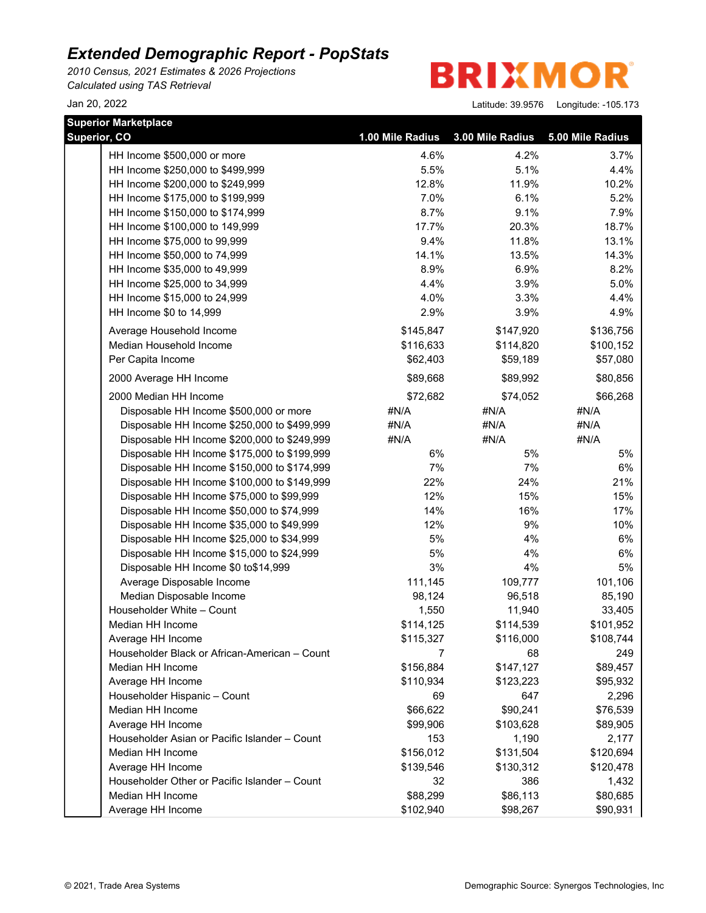*2010 Census, 2021 Estimates & 2026 Projections Calculated using TAS Retrieval*

**BRIXMOR** 

| <b>Superior Marketplace</b>                   |                  |                  |                  |
|-----------------------------------------------|------------------|------------------|------------------|
| Superior, CO                                  | 1.00 Mile Radius | 3.00 Mile Radius | 5.00 Mile Radius |
| HH Income \$500,000 or more                   | 4.6%             | 4.2%             | 3.7%             |
| HH Income \$250,000 to \$499,999              | 5.5%             | 5.1%             | 4.4%             |
| HH Income \$200,000 to \$249,999              | 12.8%            | 11.9%            | 10.2%            |
| HH Income \$175,000 to \$199,999              | 7.0%             | 6.1%             | 5.2%             |
| HH Income \$150,000 to \$174,999              | 8.7%             | 9.1%             | 7.9%             |
| HH Income \$100,000 to 149,999                | 17.7%            | 20.3%            | 18.7%            |
| HH Income \$75,000 to 99,999                  | 9.4%             | 11.8%            | 13.1%            |
| HH Income \$50,000 to 74,999                  | 14.1%            | 13.5%            | 14.3%            |
| HH Income \$35,000 to 49,999                  | 8.9%             | 6.9%             | 8.2%             |
| HH Income \$25,000 to 34,999                  | 4.4%             | 3.9%             | 5.0%             |
| HH Income \$15,000 to 24,999                  | 4.0%             | 3.3%             | 4.4%             |
| HH Income \$0 to 14,999                       | 2.9%             | 3.9%             | 4.9%             |
| Average Household Income                      | \$145,847        | \$147,920        | \$136,756        |
| Median Household Income                       | \$116,633        | \$114,820        | \$100,152        |
| Per Capita Income                             | \$62,403         | \$59,189         | \$57,080         |
| 2000 Average HH Income                        | \$89,668         | \$89,992         | \$80,856         |
| 2000 Median HH Income                         | \$72,682         | \$74,052         | \$66,268         |
| Disposable HH Income \$500,000 or more        | #N/A             | #N/A             | #N/A             |
| Disposable HH Income \$250,000 to \$499,999   | #N/A             | #N/A             | #N/A             |
| Disposable HH Income \$200,000 to \$249,999   | #N/A             | #N/A             | #N/A             |
| Disposable HH Income \$175,000 to \$199,999   | 6%               | 5%               | 5%               |
| Disposable HH Income \$150,000 to \$174,999   | 7%               | 7%               | 6%               |
| Disposable HH Income \$100,000 to \$149,999   | 22%              | 24%              | 21%              |
| Disposable HH Income \$75,000 to \$99,999     | 12%              | 15%              | 15%              |
| Disposable HH Income \$50,000 to \$74,999     | 14%              | 16%              | 17%              |
| Disposable HH Income \$35,000 to \$49,999     | 12%              | 9%               | 10%              |
| Disposable HH Income \$25,000 to \$34,999     | 5%               | 4%               | 6%               |
| Disposable HH Income \$15,000 to \$24,999     | 5%               | 4%               | 6%               |
| Disposable HH Income \$0 to\$14,999           | 3%               | 4%               | 5%               |
| Average Disposable Income                     | 111,145          | 109,777          | 101,106          |
| Median Disposable Income                      | 98,124           | 96,518           | 85,190           |
| Householder White - Count                     | 1,550            | 11,940           | 33,405           |
| Median HH Income                              | \$114,125        | \$114,539        | \$101,952        |
| Average HH Income                             | \$115,327        | \$116,000        | \$108,744        |
| Householder Black or African-American - Count |                  | 68               | 249              |
| Median HH Income                              | \$156,884        | \$147,127        | \$89,457         |
| Average HH Income                             | \$110,934        | \$123,223        | \$95,932         |
| Householder Hispanic - Count                  | 69               | 647              | 2,296            |
| Median HH Income                              | \$66,622         | \$90,241         | \$76,539         |
| Average HH Income                             | \$99,906         | \$103,628        | \$89,905         |
| Householder Asian or Pacific Islander - Count | 153              | 1,190            | 2,177            |
| Median HH Income                              | \$156,012        | \$131,504        | \$120,694        |
| Average HH Income                             | \$139,546        | \$130,312        | \$120,478        |
| Householder Other or Pacific Islander - Count | 32               | 386              | 1,432            |
| Median HH Income                              | \$88,299         | \$86,113         | \$80,685         |
| Average HH Income                             | \$102,940        | \$98,267         | \$90,931         |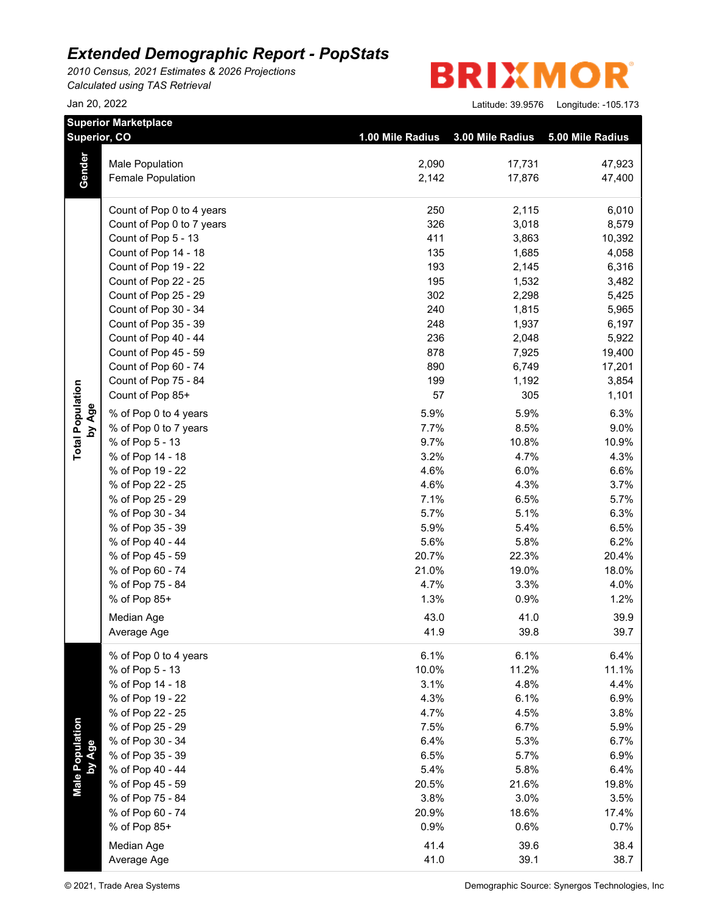*2010 Census, 2021 Estimates & 2026 Projections Calculated using TAS Retrieval*

**Superior Marketplace**

**BRIXMOR** 

|                           | superior marketplace<br>Superior, CO | 1.00 Mile Radius | 3.00 Mile Radius | 5.00 Mile Radius |
|---------------------------|--------------------------------------|------------------|------------------|------------------|
|                           | <b>Male Population</b>               | 2,090            | 17,731           | 47,923           |
| Gender                    | Female Population                    | 2,142            | 17,876           | 47,400           |
|                           | Count of Pop 0 to 4 years            | 250              | 2,115            | 6,010            |
|                           | Count of Pop 0 to 7 years            | 326              | 3,018            | 8,579            |
|                           | Count of Pop 5 - 13                  | 411              | 3,863            | 10,392           |
|                           | Count of Pop 14 - 18                 | 135              | 1,685            | 4,058            |
|                           | Count of Pop 19 - 22                 | 193              | 2,145            | 6,316            |
|                           | Count of Pop 22 - 25                 | 195              | 1,532            | 3,482            |
|                           | Count of Pop 25 - 29                 | 302              | 2,298            | 5,425            |
|                           | Count of Pop 30 - 34                 | 240              | 1,815            | 5,965            |
|                           | Count of Pop 35 - 39                 | 248              | 1,937            | 6,197            |
|                           | Count of Pop 40 - 44                 | 236              | 2,048            | 5,922            |
|                           | Count of Pop 45 - 59                 | 878              | 7,925            | 19,400           |
|                           | Count of Pop 60 - 74                 | 890              | 6,749            | 17,201           |
|                           | Count of Pop 75 - 84                 | 199              | 1,192            | 3,854            |
|                           | Count of Pop 85+                     | 57               | 305              | 1,101            |
| by Age                    | % of Pop 0 to 4 years                | 5.9%             | 5.9%             | 6.3%             |
|                           | % of Pop 0 to 7 years                | 7.7%             | 8.5%             | 9.0%             |
| <b>Total Population</b>   | % of Pop 5 - 13                      | 9.7%             | 10.8%            | 10.9%            |
|                           | % of Pop 14 - 18                     | 3.2%             | 4.7%             | 4.3%             |
|                           | % of Pop 19 - 22                     | 4.6%             | 6.0%             | 6.6%             |
|                           | % of Pop 22 - 25                     | 4.6%             | 4.3%             | 3.7%             |
|                           | % of Pop 25 - 29                     | 7.1%             | 6.5%             | 5.7%             |
|                           | % of Pop 30 - 34                     | 5.7%             | 5.1%             | 6.3%             |
|                           | % of Pop 35 - 39                     | 5.9%             | 5.4%             | 6.5%             |
|                           | % of Pop 40 - 44                     | 5.6%             | 5.8%             | 6.2%             |
|                           | % of Pop 45 - 59                     | 20.7%            | 22.3%            | 20.4%            |
|                           | % of Pop 60 - 74                     | 21.0%            | 19.0%            | 18.0%            |
|                           | % of Pop 75 - 84                     | 4.7%             | 3.3%             | 4.0%             |
|                           | % of Pop 85+                         | 1.3%             | 0.9%             | 1.2%             |
|                           | Median Age                           | 43.0             | 41.0             | 39.9             |
|                           | Average Age                          | 41.9             | 39.8             | 39.7             |
|                           | % of Pop 0 to 4 years                | 6.1%             | 6.1%             | 6.4%             |
|                           | % of Pop 5 - 13                      | 10.0%            | 11.2%            | 11.1%            |
|                           | % of Pop 14 - 18                     | 3.1%             | 4.8%             | 4.4%             |
|                           | % of Pop 19 - 22                     | 4.3%             | 6.1%             | 6.9%             |
|                           | % of Pop 22 - 25                     | 4.7%             | 4.5%             | 3.8%             |
|                           | % of Pop 25 - 29                     | 7.5%             | 6.7%             | 5.9%             |
|                           | % of Pop 30 - 34                     | 6.4%             | 5.3%             | 6.7%             |
| Male Population<br>by Age | % of Pop 35 - 39                     | 6.5%             | 5.7%             | 6.9%             |
|                           | % of Pop 40 - 44                     | 5.4%             | 5.8%             | 6.4%             |
|                           | % of Pop 45 - 59                     | 20.5%            | 21.6%            | 19.8%            |
|                           | % of Pop 75 - 84                     | 3.8%             | 3.0%             | 3.5%             |
|                           | % of Pop 60 - 74                     | 20.9%            | 18.6%            | 17.4%            |
|                           | % of Pop 85+                         | 0.9%             | 0.6%             | 0.7%             |
|                           | Median Age                           | 41.4             | 39.6             | 38.4             |
|                           | Average Age                          | 41.0             | 39.1             | 38.7             |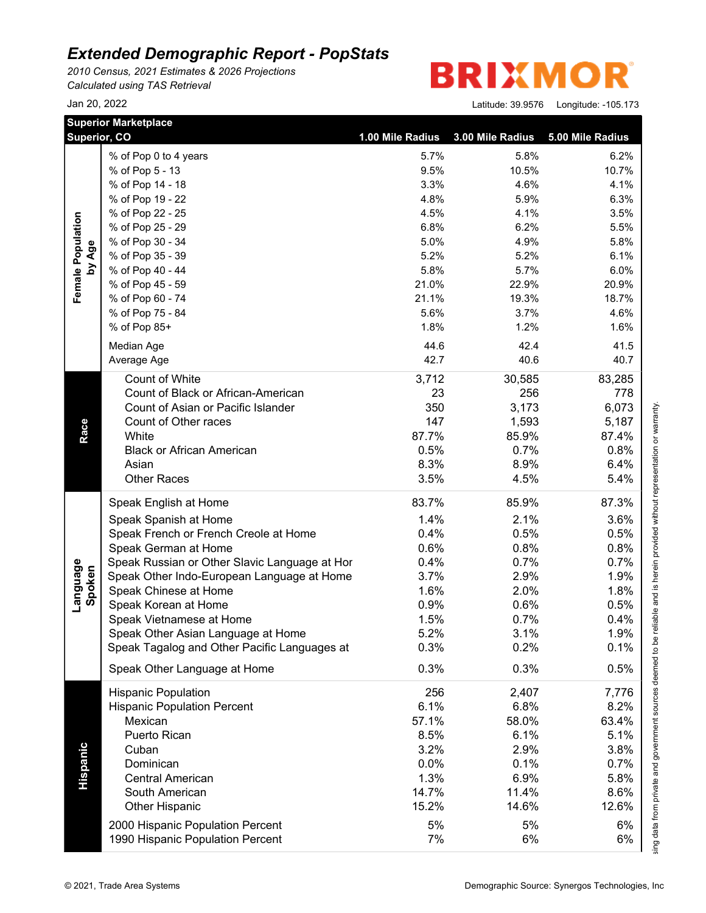*2010 Census, 2021 Estimates & 2026 Projections Calculated using TAS Retrieval*

### R **BRIXMO**

|                    | <b>Superior Marketplace</b><br>Superior, CO   | 1.00 Mile Radius | 3.00 Mile Radius | 5.00 Mile Radius |
|--------------------|-----------------------------------------------|------------------|------------------|------------------|
|                    | % of Pop 0 to 4 years                         | 5.7%             | 5.8%             | 6.2%             |
|                    | % of Pop 5 - 13                               | 9.5%             | 10.5%            | 10.7%            |
|                    | % of Pop 14 - 18                              | 3.3%             | 4.6%             | 4.1%             |
|                    | % of Pop 19 - 22                              | 4.8%             | 5.9%             | 6.3%             |
| Female Population  | % of Pop 22 - 25                              | 4.5%             | 4.1%             | 3.5%             |
|                    | % of Pop 25 - 29                              | 6.8%             | 6.2%             | 5.5%             |
|                    | % of Pop 30 - 34                              | 5.0%             | 4.9%             | 5.8%             |
| by Age             | % of Pop 35 - 39                              | 5.2%             | 5.2%             | 6.1%             |
|                    | % of Pop 40 - 44                              | 5.8%             | 5.7%             | 6.0%             |
|                    | % of Pop 45 - 59                              | 21.0%            | 22.9%            | 20.9%            |
|                    | % of Pop 60 - 74                              | 21.1%            | 19.3%            | 18.7%            |
|                    | % of Pop 75 - 84                              | 5.6%             | 3.7%             | 4.6%             |
|                    | % of Pop 85+                                  | 1.8%             | 1.2%             | 1.6%             |
|                    |                                               | 44.6             |                  |                  |
|                    | Median Age                                    |                  | 42.4             | 41.5             |
|                    | Average Age                                   | 42.7             | 40.6             | 40.7             |
|                    | Count of White                                | 3,712            | 30,585           | 83,285           |
|                    | Count of Black or African-American            | 23               | 256              | 778              |
|                    | Count of Asian or Pacific Islander            | 350              | 3,173            | 6,073            |
| Race               | Count of Other races                          | 147              | 1,593            | 5,187            |
|                    | White                                         | 87.7%            | 85.9%            | 87.4%            |
|                    | <b>Black or African American</b>              | 0.5%             | 0.7%             | 0.8%             |
|                    | Asian                                         | 8.3%             | 8.9%             | 6.4%             |
|                    | <b>Other Races</b>                            | 3.5%             | 4.5%             | 5.4%             |
|                    | Speak English at Home                         | 83.7%            | 85.9%            | 87.3%            |
|                    | Speak Spanish at Home                         | 1.4%             | 2.1%             | 3.6%             |
|                    | Speak French or French Creole at Home         | 0.4%             | 0.5%             | 0.5%             |
|                    | Speak German at Home                          | 0.6%             | 0.8%             | 0.8%             |
|                    | Speak Russian or Other Slavic Language at Hor | 0.4%             | 0.7%             | 0.7%             |
| Language<br>Spoken | Speak Other Indo-European Language at Home    | 3.7%             | 2.9%             | 1.9%             |
|                    | Speak Chinese at Home                         | 1.6%             | 2.0%             | 1.8%             |
|                    | Speak Korean at Home                          | 0.9%             | 0.6%             | 0.5%             |
|                    | Speak Vietnamese at Home                      | 1.5%             | 0.7%             | 0.4%             |
|                    | Speak Other Asian Language at Home            | 5.2%             | 3.1%             | 1.9%             |
|                    | Speak Tagalog and Other Pacific Languages at  | 0.3%             | 0.2%             | 0.1%             |
|                    | Speak Other Language at Home                  | 0.3%             | 0.3%             | 0.5%             |
|                    | <b>Hispanic Population</b>                    | 256              | 2,407            | 7,776            |
|                    | <b>Hispanic Population Percent</b>            | 6.1%             | 6.8%             | 8.2%             |
|                    | Mexican                                       | 57.1%            | 58.0%            | 63.4%            |
|                    | Puerto Rican                                  | 8.5%             | 6.1%             | 5.1%             |
|                    | Cuban                                         | 3.2%             | 2.9%             | 3.8%             |
|                    | Dominican                                     | 0.0%             | 0.1%             | 0.7%             |
|                    | <b>Central American</b>                       | 1.3%             | 6.9%             | 5.8%             |
| Hispanic           | South American                                |                  | 11.4%            |                  |
|                    |                                               | 14.7%            |                  | 8.6%             |
|                    | <b>Other Hispanic</b>                         | 15.2%            | 14.6%            | 12.6%            |
|                    | 2000 Hispanic Population Percent              | 5%               | 5%               | 6%               |
|                    | 1990 Hispanic Population Percent              | 7%               | 6%               | 6%               |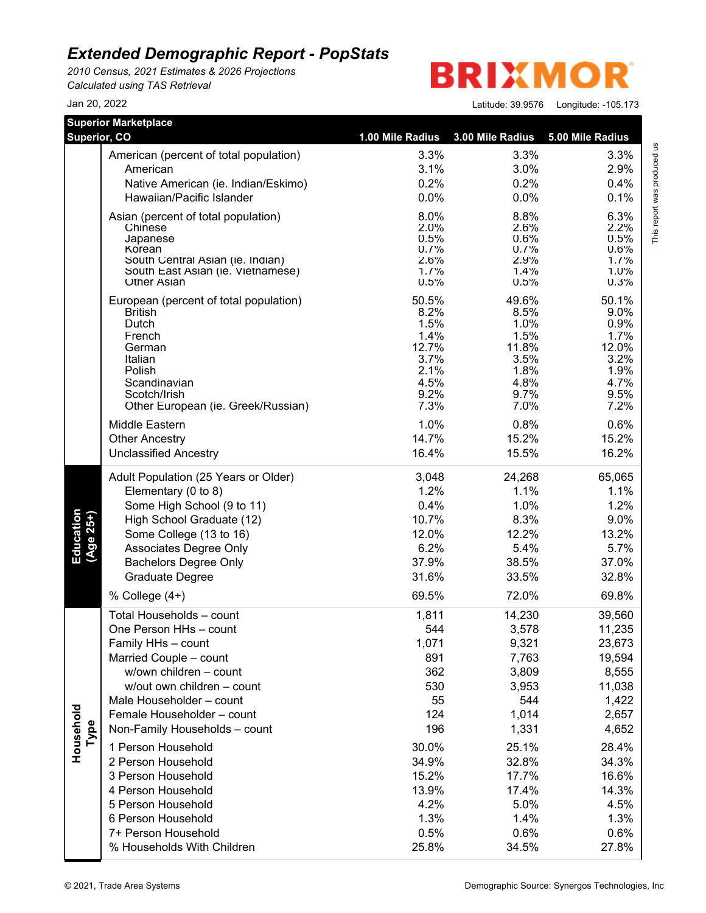*2010 Census, 2021 Estimates & 2026 Projections Calculated using TAS Retrieval*

**BRIXMO** R

Jan 20, 2022 Latitude: 39.9576 Longitude: -105.173

This report was produced us<br>T

| <b>Superior Marketplace</b><br>Superior, CO |                                                          | 1.00 Mile Radius | 3.00 Mile Radius | 5.00 Mile Radius                    |
|---------------------------------------------|----------------------------------------------------------|------------------|------------------|-------------------------------------|
|                                             |                                                          |                  |                  |                                     |
|                                             | American (percent of total population)                   | 3.3%             | 3.3%             | This report was produced us<br>3.3% |
|                                             | American                                                 | 3.1%             | 3.0%             | 2.9%                                |
|                                             | Native American (ie. Indian/Eskimo)                      | 0.2%             | 0.2%             | 0.4%                                |
|                                             | Hawaiian/Pacific Islander                                | 0.0%             | 0.0%             | 0.1%                                |
|                                             | Asian (percent of total population)                      | 8.0%             | 8.8%             | 6.3%                                |
|                                             | Chinese<br>Japanese                                      | 2.0%<br>0.5%     | 2.6%<br>0.6%     | 2.2%<br>0.5%                        |
|                                             | Korean                                                   | 0.7%             | 0.7%             | 0.6%                                |
|                                             | South Central Asian (ie. Indian)                         | 2.6%             | 2.9%             | 1.7%                                |
|                                             | South East Asian (ie. Vietnamese)<br><b>Other Asian</b>  | 1.7%<br>0.5%     | 1.4%<br>0.5%     | 1.0%<br>0.3%                        |
|                                             |                                                          |                  |                  |                                     |
|                                             | European (percent of total population)<br><b>British</b> | 50.5%<br>8.2%    | 49.6%<br>8.5%    | 50.1%<br>9.0%                       |
|                                             | Dutch                                                    | 1.5%             | 1.0%             | 0.9%                                |
|                                             | French                                                   | 1.4%             | 1.5%             | 1.7%                                |
|                                             | German                                                   | 12.7%            | 11.8%            | 12.0%                               |
|                                             | Italian                                                  | 3.7%<br>2.1%     | 3.5%             | 3.2%                                |
|                                             | Polish<br>Scandinavian                                   | 4.5%             | 1.8%<br>4.8%     | 1.9%<br>4.7%                        |
|                                             | Scotch/Irish                                             | 9.2%             | 9.7%             | 9.5%                                |
|                                             | Other European (ie. Greek/Russian)                       | 7.3%             | 7.0%             | 7.2%                                |
|                                             | Middle Eastern                                           | 1.0%             | 0.8%             | 0.6%                                |
|                                             | <b>Other Ancestry</b>                                    | 14.7%            | 15.2%            | 15.2%                               |
|                                             | <b>Unclassified Ancestry</b>                             | 16.4%            | 15.5%            | 16.2%                               |
|                                             | Adult Population (25 Years or Older)                     | 3,048            | 24,268           | 65,065                              |
|                                             | Elementary (0 to 8)                                      | 1.2%             | 1.1%             | 1.1%                                |
|                                             | Some High School (9 to 11)                               | 0.4%             | 1.0%             | 1.2%                                |
|                                             | High School Graduate (12)                                | 10.7%            | 8.3%             | 9.0%                                |
|                                             | Some College (13 to 16)                                  | 12.0%            | 12.2%            | 13.2%                               |
| Education<br>(Age 25+)                      | Associates Degree Only                                   | 6.2%             | 5.4%             | 5.7%                                |
|                                             | <b>Bachelors Degree Only</b>                             | 37.9%            | 38.5%            | 37.0%                               |
|                                             | Graduate Degree                                          | 31.6%            | 33.5%            | 32.8%                               |
|                                             | % College $(4+)$                                         | 69.5%            | 72.0%            | 69.8%                               |
|                                             | Total Households - count                                 | 1,811            | 14,230           | 39,560                              |
|                                             | One Person HHs - count                                   | 544              | 3,578            | 11,235                              |
|                                             | Family HHs - count                                       | 1,071            | 9,321            | 23,673                              |
|                                             | Married Couple - count                                   | 891              | 7,763            | 19,594                              |
|                                             | w/own children - count                                   | 362              | 3,809            | 8,555                               |
|                                             | w/out own children - count                               | 530              | 3,953            | 11,038                              |
|                                             | Male Householder - count                                 | 55               | 544              | 1,422                               |
|                                             | Female Householder - count                               | 124              | 1,014            | 2,657                               |
| Type                                        | Non-Family Households - count                            | 196              | 1,331            | 4,652                               |
| Household                                   | 1 Person Household                                       | 30.0%            | 25.1%            | 28.4%                               |
|                                             | 2 Person Household                                       | 34.9%            | 32.8%            | 34.3%                               |
|                                             | 3 Person Household                                       | 15.2%            | 17.7%            | 16.6%                               |
|                                             | 4 Person Household                                       | 13.9%            | 17.4%            | 14.3%                               |
|                                             | 5 Person Household                                       | 4.2%             | 5.0%             | 4.5%                                |
|                                             | 6 Person Household                                       | 1.3%             | 1.4%             | 1.3%                                |
|                                             | 7+ Person Household                                      | 0.5%             | 0.6%             | 0.6%                                |
|                                             | % Households With Children                               | 25.8%            | 34.5%            | 27.8%                               |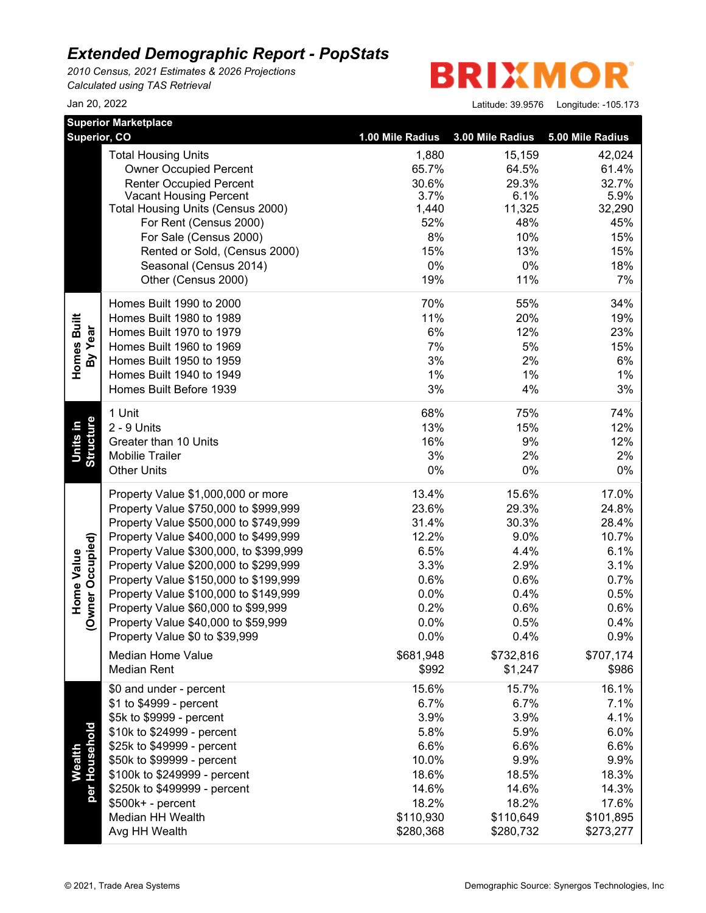*2010 Census, 2021 Estimates & 2026 Projections Calculated using TAS Retrieval*

**BRIXMO** R

| 5.00 Mile Radius<br>42,024<br>61.4%<br>32.7%<br>5.9%<br>32,290<br>45%<br>15% |
|------------------------------------------------------------------------------|
|                                                                              |
|                                                                              |
|                                                                              |
|                                                                              |
|                                                                              |
|                                                                              |
|                                                                              |
|                                                                              |
| 15%                                                                          |
| 18%                                                                          |
| 7%                                                                           |
| 34%                                                                          |
| 19%                                                                          |
| 23%                                                                          |
| 15%                                                                          |
| 6%                                                                           |
| $1\%$                                                                        |
| 3%                                                                           |
| 74%                                                                          |
| 12%                                                                          |
| 12%                                                                          |
| 2%                                                                           |
| $0\%$                                                                        |
| 17.0%                                                                        |
| 24.8%                                                                        |
| 28.4%                                                                        |
| 10.7%                                                                        |
| 6.1%                                                                         |
| 3.1%                                                                         |
| 0.7%                                                                         |
| 0.5%                                                                         |
| 0.6%                                                                         |
| 0.4%                                                                         |
| 0.9%                                                                         |
| \$707,174                                                                    |
| \$986                                                                        |
| 16.1%                                                                        |
| 7.1%                                                                         |
| 4.1%                                                                         |
| 6.0%                                                                         |
| 6.6%                                                                         |
| 9.9%                                                                         |
| 18.3%                                                                        |
| 14.3%                                                                        |
| 17.6%                                                                        |
| \$101,895                                                                    |
| \$273,277                                                                    |
|                                                                              |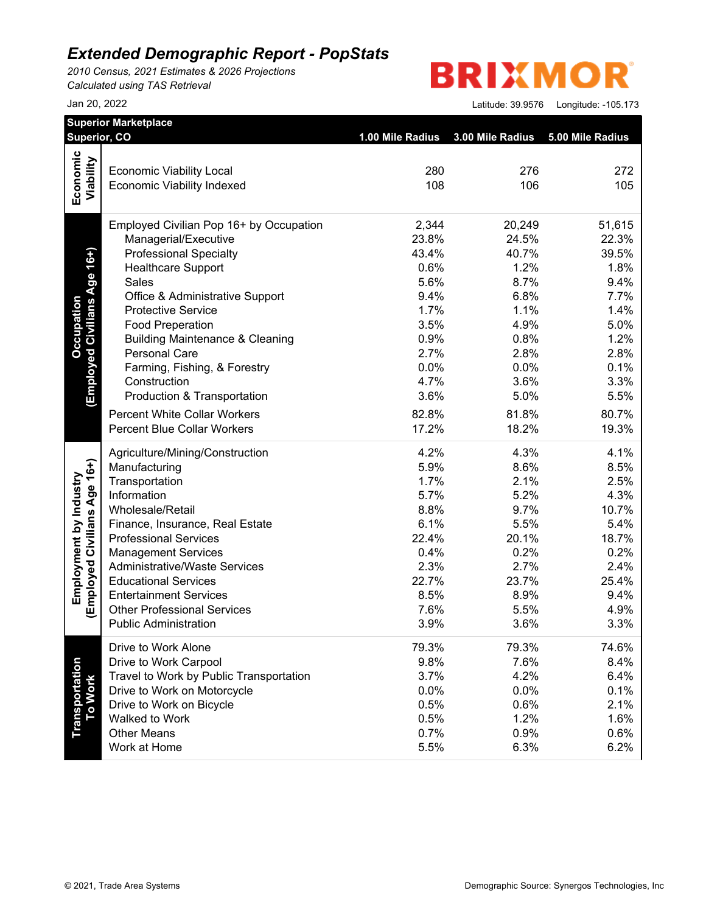*2010 Census, 2021 Estimates & 2026 Projections Calculated using TAS Retrieval*

# **BRIXMOR**

|                              | Superior, CO                                                         | 1.00 Mile Radius | 3.00 Mile Radius | 5.00 Mile Radius |  |
|------------------------------|----------------------------------------------------------------------|------------------|------------------|------------------|--|
| Economic                     |                                                                      |                  |                  |                  |  |
| Viability                    | <b>Economic Viability Local</b><br><b>Economic Viability Indexed</b> | 280<br>108       | 276<br>106       | 272<br>105       |  |
|                              |                                                                      |                  |                  |                  |  |
|                              | Employed Civilian Pop 16+ by Occupation                              | 2,344            | 20,249           | 51,615           |  |
|                              | Managerial/Executive                                                 | 23.8%            | 24.5%            | 22.3%            |  |
| (Employed Civilians Age 16+) | <b>Professional Specialty</b>                                        | 43.4%            | 40.7%            | 39.5%            |  |
|                              | <b>Healthcare Support</b>                                            | 0.6%             | 1.2%             | 1.8%             |  |
|                              | Sales                                                                | 5.6%             | 8.7%             | 9.4%             |  |
|                              | Office & Administrative Support                                      | 9.4%             | 6.8%             | 7.7%             |  |
|                              | <b>Protective Service</b>                                            | 1.7%             | 1.1%             | 1.4%             |  |
|                              | <b>Food Preperation</b>                                              | 3.5%             | 4.9%             | 5.0%             |  |
|                              | <b>Building Maintenance &amp; Cleaning</b>                           | 0.9%             | 0.8%             | 1.2%             |  |
|                              | <b>Personal Care</b>                                                 | 2.7%             | 2.8%             | 2.8%             |  |
|                              | Farming, Fishing, & Forestry                                         | 0.0%             | 0.0%             | 0.1%             |  |
|                              | Construction                                                         | 4.7%             | 3.6%             | 3.3%             |  |
|                              | Production & Transportation                                          | 3.6%             | 5.0%             | 5.5%             |  |
|                              | <b>Percent White Collar Workers</b>                                  | 82.8%            | 81.8%            | 80.7%            |  |
|                              | <b>Percent Blue Collar Workers</b>                                   | 17.2%            | 18.2%            | 19.3%            |  |
|                              | Agriculture/Mining/Construction                                      | 4.2%             | 4.3%             | 4.1%             |  |
|                              | Manufacturing                                                        | 5.9%             | 8.6%             | 8.5%             |  |
|                              | Transportation                                                       | 1.7%             | 2.1%             | 2.5%             |  |
|                              | Information                                                          | 5.7%             | 5.2%             | 4.3%             |  |
|                              | Wholesale/Retail                                                     | 8.8%             | 9.7%             | 10.7%            |  |
|                              | Finance, Insurance, Real Estate                                      | 6.1%             | 5.5%             | 5.4%             |  |
| (Employed Civilians Age 16+) | <b>Professional Services</b>                                         | 22.4%            | 20.1%            | 18.7%            |  |
|                              | <b>Management Services</b><br><b>Administrative/Waste Services</b>   | 0.4%<br>2.3%     | 0.2%<br>2.7%     | 0.2%<br>2.4%     |  |
|                              | <b>Educational Services</b>                                          | 22.7%            | 23.7%            | 25.4%            |  |
|                              | <b>Entertainment Services</b>                                        | 8.5%             | 8.9%             | 9.4%             |  |
|                              | <b>Other Professional Services</b>                                   | 7.6%             | 5.5%             | 4.9%             |  |
|                              | <b>Public Administration</b>                                         | 3.9%             | 3.6%             | 3.3%             |  |
|                              | Drive to Work Alone                                                  | 79.3%            | 79.3%            | 74.6%            |  |
|                              | Drive to Work Carpool                                                | 9.8%             | 7.6%             | 8.4%             |  |
|                              | Travel to Work by Public Transportation                              | 3.7%             | 4.2%             | 6.4%             |  |
|                              | Drive to Work on Motorcycle                                          | 0.0%             | 0.0%             | 0.1%             |  |
| <b>To Work</b>               | Drive to Work on Bicycle                                             | 0.5%             | 0.6%             | 2.1%             |  |
|                              | Walked to Work                                                       | 0.5%             | 1.2%             | 1.6%             |  |
|                              | <b>Other Means</b>                                                   | 0.7%             | 0.9%             | 0.6%             |  |
|                              | Work at Home                                                         | 5.5%             | 6.3%             | 6.2%             |  |